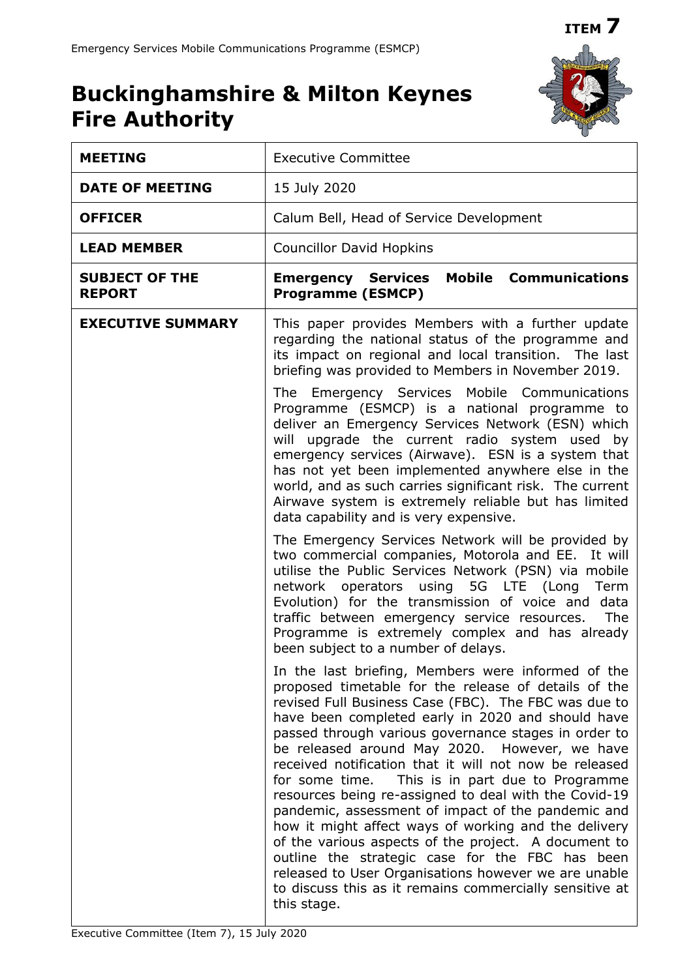**ITEM 7**

# **Buckinghamshire & Milton Keynes Fire Authority**



| <b>MEETING</b>                         | <b>Executive Committee</b>                                                                                                                                                                                                                                                                                                                                                                                                                                                                                                                                                                                                                                                                                                                                                                                                                                                                                                                                                                                                                                                                                                                                                                                                                                                                        |  |  |
|----------------------------------------|---------------------------------------------------------------------------------------------------------------------------------------------------------------------------------------------------------------------------------------------------------------------------------------------------------------------------------------------------------------------------------------------------------------------------------------------------------------------------------------------------------------------------------------------------------------------------------------------------------------------------------------------------------------------------------------------------------------------------------------------------------------------------------------------------------------------------------------------------------------------------------------------------------------------------------------------------------------------------------------------------------------------------------------------------------------------------------------------------------------------------------------------------------------------------------------------------------------------------------------------------------------------------------------------------|--|--|
| <b>DATE OF MEETING</b>                 | 15 July 2020                                                                                                                                                                                                                                                                                                                                                                                                                                                                                                                                                                                                                                                                                                                                                                                                                                                                                                                                                                                                                                                                                                                                                                                                                                                                                      |  |  |
| <b>OFFICER</b>                         | Calum Bell, Head of Service Development                                                                                                                                                                                                                                                                                                                                                                                                                                                                                                                                                                                                                                                                                                                                                                                                                                                                                                                                                                                                                                                                                                                                                                                                                                                           |  |  |
| <b>LEAD MEMBER</b>                     | <b>Councillor David Hopkins</b>                                                                                                                                                                                                                                                                                                                                                                                                                                                                                                                                                                                                                                                                                                                                                                                                                                                                                                                                                                                                                                                                                                                                                                                                                                                                   |  |  |
| <b>SUBJECT OF THE</b><br><b>REPORT</b> | <b>Mobile Communications</b><br><b>Emergency Services</b><br><b>Programme (ESMCP)</b>                                                                                                                                                                                                                                                                                                                                                                                                                                                                                                                                                                                                                                                                                                                                                                                                                                                                                                                                                                                                                                                                                                                                                                                                             |  |  |
| <b>EXECUTIVE SUMMARY</b>               | This paper provides Members with a further update<br>regarding the national status of the programme and<br>its impact on regional and local transition. The last<br>briefing was provided to Members in November 2019.<br>The Emergency Services Mobile Communications<br>Programme (ESMCP) is a national programme to<br>deliver an Emergency Services Network (ESN) which<br>will upgrade the current radio system used by<br>emergency services (Airwave). ESN is a system that<br>has not yet been implemented anywhere else in the<br>world, and as such carries significant risk. The current<br>Airwave system is extremely reliable but has limited<br>data capability and is very expensive.<br>The Emergency Services Network will be provided by<br>two commercial companies, Motorola and EE. It will<br>utilise the Public Services Network (PSN) via mobile<br>network operators using 5G LTE (Long Term<br>Evolution) for the transmission of voice and data<br>traffic between emergency service resources.<br>The<br>Programme is extremely complex and has already<br>been subject to a number of delays.<br>In the last briefing, Members were informed of the<br>proposed timetable for the release of details of the<br>revised Full Business Case (FBC). The FBC was due to |  |  |
|                                        | have been completed early in 2020 and should have<br>passed through various governance stages in order to<br>be released around May 2020. However, we have<br>received notification that it will not now be released<br>for some time.<br>This is in part due to Programme<br>resources being re-assigned to deal with the Covid-19<br>pandemic, assessment of impact of the pandemic and<br>how it might affect ways of working and the delivery<br>of the various aspects of the project. A document to                                                                                                                                                                                                                                                                                                                                                                                                                                                                                                                                                                                                                                                                                                                                                                                         |  |  |
|                                        | outline the strategic case for the FBC has been<br>released to User Organisations however we are unable<br>to discuss this as it remains commercially sensitive at<br>this stage.                                                                                                                                                                                                                                                                                                                                                                                                                                                                                                                                                                                                                                                                                                                                                                                                                                                                                                                                                                                                                                                                                                                 |  |  |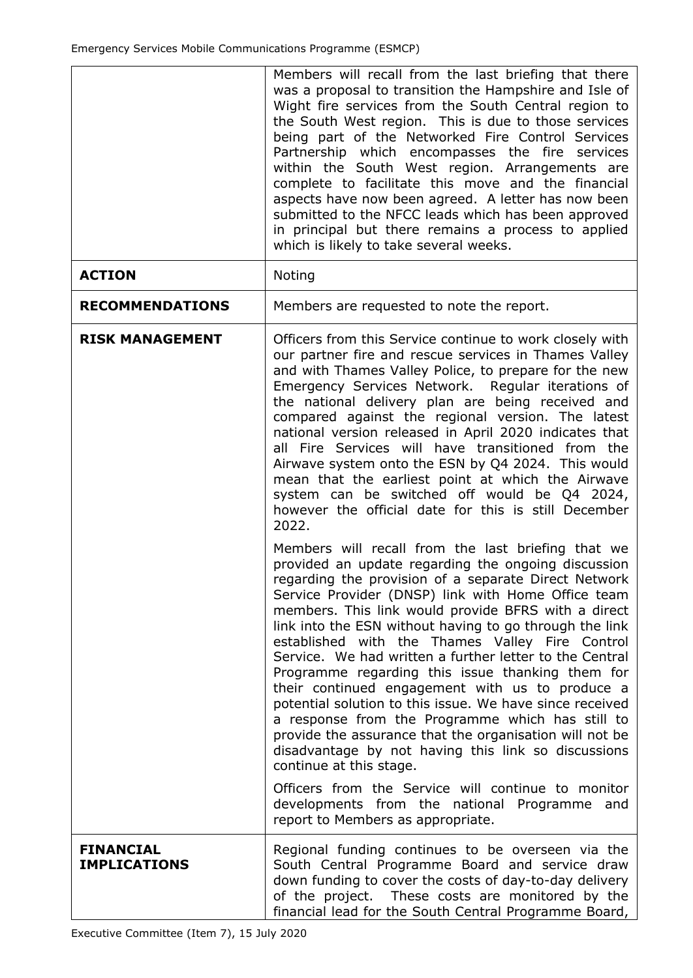|                                         | Members will recall from the last briefing that there<br>was a proposal to transition the Hampshire and Isle of<br>Wight fire services from the South Central region to<br>the South West region. This is due to those services<br>being part of the Networked Fire Control Services<br>Partnership which encompasses the fire services<br>within the South West region. Arrangements are<br>complete to facilitate this move and the financial<br>aspects have now been agreed. A letter has now been<br>submitted to the NFCC leads which has been approved<br>in principal but there remains a process to applied<br>which is likely to take several weeks.                                                                                                                                                              |  |
|-----------------------------------------|-----------------------------------------------------------------------------------------------------------------------------------------------------------------------------------------------------------------------------------------------------------------------------------------------------------------------------------------------------------------------------------------------------------------------------------------------------------------------------------------------------------------------------------------------------------------------------------------------------------------------------------------------------------------------------------------------------------------------------------------------------------------------------------------------------------------------------|--|
| <b>ACTION</b>                           | Noting                                                                                                                                                                                                                                                                                                                                                                                                                                                                                                                                                                                                                                                                                                                                                                                                                      |  |
| <b>RECOMMENDATIONS</b>                  | Members are requested to note the report.                                                                                                                                                                                                                                                                                                                                                                                                                                                                                                                                                                                                                                                                                                                                                                                   |  |
| <b>RISK MANAGEMENT</b>                  | Officers from this Service continue to work closely with<br>our partner fire and rescue services in Thames Valley<br>and with Thames Valley Police, to prepare for the new<br>Emergency Services Network. Regular iterations of<br>the national delivery plan are being received and<br>compared against the regional version. The latest<br>national version released in April 2020 indicates that<br>all Fire Services will have transitioned from the<br>Airwave system onto the ESN by Q4 2024. This would<br>mean that the earliest point at which the Airwave<br>system can be switched off would be Q4 2024,<br>however the official date for this is still December<br>2022.                                                                                                                                        |  |
|                                         | Members will recall from the last briefing that we<br>provided an update regarding the ongoing discussion<br>regarding the provision of a separate Direct Network<br>Service Provider (DNSP) link with Home Office team<br>members. This link would provide BFRS with a direct<br>link into the ESN without having to go through the link<br>established with the Thames Valley Fire Control<br>Service. We had written a further letter to the Central<br>Programme regarding this issue thanking them for<br>their continued engagement with us to produce a<br>potential solution to this issue. We have since received<br>a response from the Programme which has still to<br>provide the assurance that the organisation will not be<br>disadvantage by not having this link so discussions<br>continue at this stage. |  |
|                                         | Officers from the Service will continue to monitor<br>developments from the national Programme<br>and<br>report to Members as appropriate.                                                                                                                                                                                                                                                                                                                                                                                                                                                                                                                                                                                                                                                                                  |  |
| <b>FINANCIAL</b><br><b>IMPLICATIONS</b> | Regional funding continues to be overseen via the<br>South Central Programme Board and service draw<br>down funding to cover the costs of day-to-day delivery<br>of the project.<br>These costs are monitored by the<br>financial lead for the South Central Programme Board,                                                                                                                                                                                                                                                                                                                                                                                                                                                                                                                                               |  |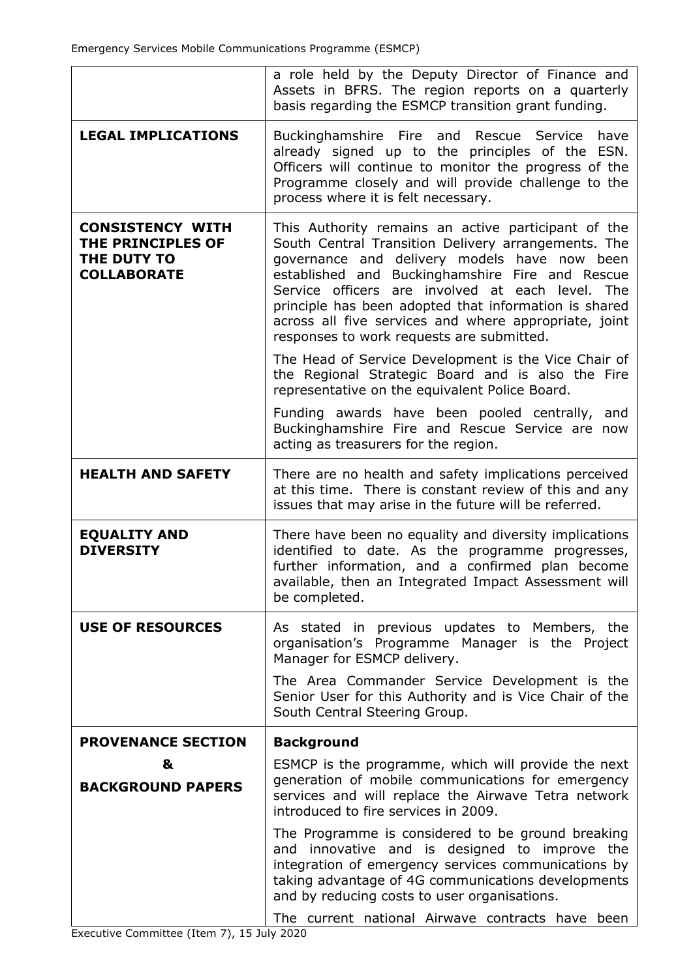|                                                                                   | a role held by the Deputy Director of Finance and<br>Assets in BFRS. The region reports on a quarterly<br>basis regarding the ESMCP transition grant funding.                                                                                                                                                                                                                                                                       |  |
|-----------------------------------------------------------------------------------|-------------------------------------------------------------------------------------------------------------------------------------------------------------------------------------------------------------------------------------------------------------------------------------------------------------------------------------------------------------------------------------------------------------------------------------|--|
| <b>LEGAL IMPLICATIONS</b>                                                         | Buckinghamshire Fire and Rescue Service<br>have<br>already signed up to the principles of the ESN.<br>Officers will continue to monitor the progress of the<br>Programme closely and will provide challenge to the<br>process where it is felt necessary.                                                                                                                                                                           |  |
| <b>CONSISTENCY WITH</b><br>THE PRINCIPLES OF<br>THE DUTY TO<br><b>COLLABORATE</b> | This Authority remains an active participant of the<br>South Central Transition Delivery arrangements. The<br>governance and delivery models have now been<br>established and Buckinghamshire Fire and Rescue<br>Service officers are involved at each level.<br>The<br>principle has been adopted that information is shared<br>across all five services and where appropriate, joint<br>responses to work requests are submitted. |  |
|                                                                                   | The Head of Service Development is the Vice Chair of<br>the Regional Strategic Board and is also the Fire<br>representative on the equivalent Police Board.                                                                                                                                                                                                                                                                         |  |
|                                                                                   | Funding awards have been pooled centrally, and<br>Buckinghamshire Fire and Rescue Service are now<br>acting as treasurers for the region.                                                                                                                                                                                                                                                                                           |  |
| <b>HEALTH AND SAFETY</b>                                                          | There are no health and safety implications perceived<br>at this time. There is constant review of this and any<br>issues that may arise in the future will be referred.                                                                                                                                                                                                                                                            |  |
| <b>EQUALITY AND</b><br><b>DIVERSITY</b>                                           | There have been no equality and diversity implications<br>identified to date. As the programme progresses,<br>further information, and a confirmed plan become<br>available, then an Integrated Impact Assessment will<br>be completed.                                                                                                                                                                                             |  |
| <b>USE OF RESOURCES</b>                                                           | As stated in previous updates to Members, the<br>organisation's Programme Manager is the Project<br>Manager for ESMCP delivery.                                                                                                                                                                                                                                                                                                     |  |
|                                                                                   | The Area Commander Service Development is the<br>Senior User for this Authority and is Vice Chair of the<br>South Central Steering Group.                                                                                                                                                                                                                                                                                           |  |
| <b>PROVENANCE SECTION</b>                                                         | <b>Background</b>                                                                                                                                                                                                                                                                                                                                                                                                                   |  |
| &<br><b>BACKGROUND PAPERS</b>                                                     | ESMCP is the programme, which will provide the next<br>generation of mobile communications for emergency<br>services and will replace the Airwave Tetra network<br>introduced to fire services in 2009.                                                                                                                                                                                                                             |  |
|                                                                                   | The Programme is considered to be ground breaking<br>and innovative and is designed to improve the<br>integration of emergency services communications by<br>taking advantage of 4G communications developments<br>and by reducing costs to user organisations.                                                                                                                                                                     |  |
|                                                                                   | The current national Airwave contracts have been                                                                                                                                                                                                                                                                                                                                                                                    |  |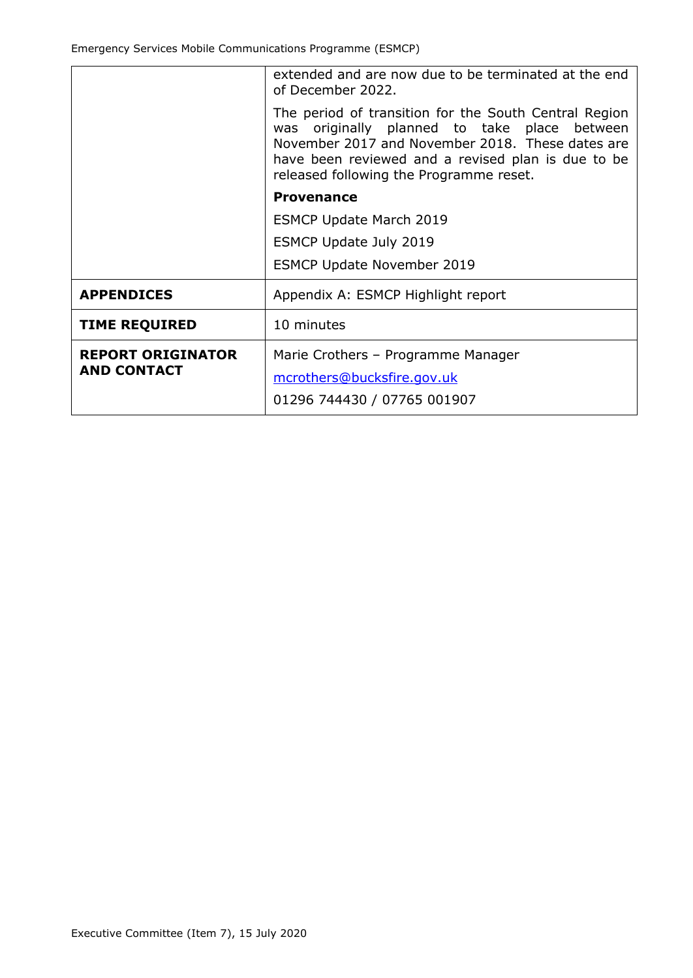|                          | extended and are now due to be terminated at the end<br>of December 2022.                                                                                                                                                                                     |  |
|--------------------------|---------------------------------------------------------------------------------------------------------------------------------------------------------------------------------------------------------------------------------------------------------------|--|
|                          | The period of transition for the South Central Region<br>originally planned to take place between<br>was<br>November 2017 and November 2018. These dates are<br>have been reviewed and a revised plan is due to be<br>released following the Programme reset. |  |
|                          | <b>Provenance</b>                                                                                                                                                                                                                                             |  |
|                          | <b>ESMCP Update March 2019</b>                                                                                                                                                                                                                                |  |
|                          | <b>ESMCP Update July 2019</b>                                                                                                                                                                                                                                 |  |
|                          | <b>ESMCP Update November 2019</b>                                                                                                                                                                                                                             |  |
| <b>APPENDICES</b>        | Appendix A: ESMCP Highlight report                                                                                                                                                                                                                            |  |
| <b>TIME REQUIRED</b>     | 10 minutes                                                                                                                                                                                                                                                    |  |
| <b>REPORT ORIGINATOR</b> | Marie Crothers - Programme Manager                                                                                                                                                                                                                            |  |
| <b>AND CONTACT</b>       | mcrothers@bucksfire.gov.uk                                                                                                                                                                                                                                    |  |
|                          | 01296 744430 / 07765 001907                                                                                                                                                                                                                                   |  |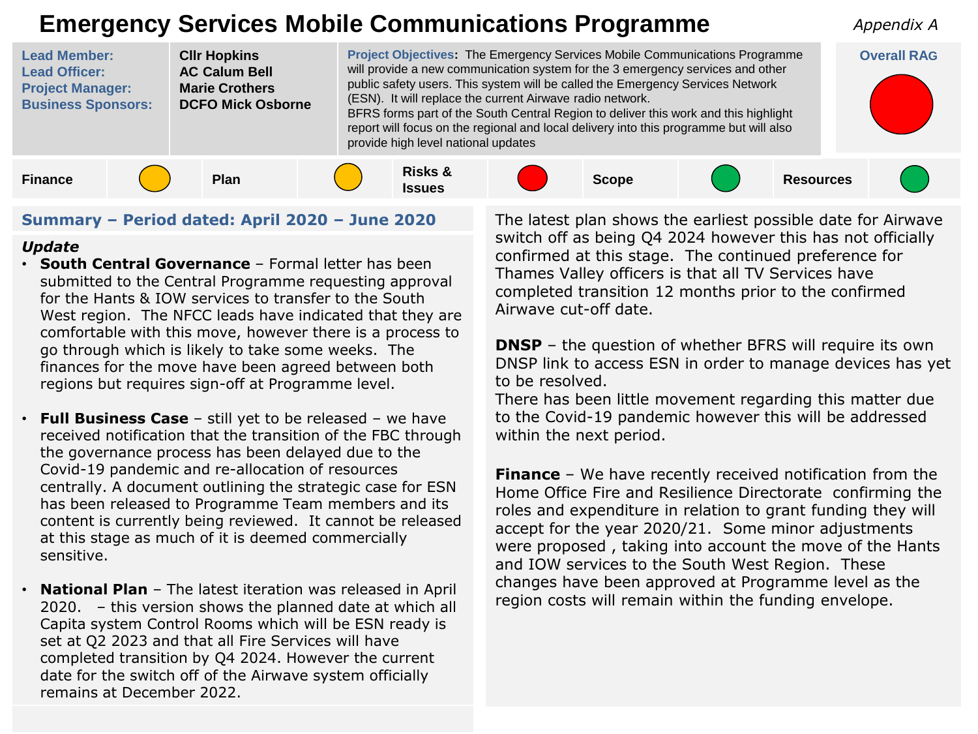## **Emergency Services Mobile Communications Programme**



## **Summary – Period dated: April 2020 – June 2020**

## *Update*

- **South Central Governance**  Formal letter has been submitted to the Central Programme requesting approval for the Hants & IOW services to transfer to the South West region. The NFCC leads have indicated that they are comfortable with this move, however there is a process to go through which is likely to take some weeks. The finances for the move have been agreed between both regions but requires sign-off at Programme level.
- **Full Business Case**  still yet to be released we have received notification that the transition of the FBC through the governance process has been delayed due to the Covid-19 pandemic and re-allocation of resources centrally. A document outlining the strategic case for ESN has been released to Programme Team members and its content is currently being reviewed. It cannot be released at this stage as much of it is deemed commercially sensitive.
- **National Plan** The latest iteration was released in April 2020. – this version shows the planned date at which all Capita system Control Rooms which will be ESN ready is set at Q2 2023 and that all Fire Services will have completed transition by Q4 2024. However the current date for the switch off of the Airwave system officially remains at December 2022.

The latest plan shows the earliest possible date for Airwave switch off as being Q4 2024 however this has not officially confirmed at this stage. The continued preference for Thames Valley officers is that all TV Services have completed transition 12 months prior to the confirmed Airwave cut-off date.

*Appendix A*

**DNSP** – the question of whether BFRS will require its own DNSP link to access ESN in order to manage devices has yet to be resolved.

There has been little movement regarding this matter due to the Covid-19 pandemic however this will be addressed within the next period.

**Finance** – We have recently received notification from the Home Office Fire and Resilience Directorate confirming the roles and expenditure in relation to grant funding they will accept for the year 2020/21. Some minor adjustments were proposed , taking into account the move of the Hants and IOW services to the South West Region. These changes have been approved at Programme level as the region costs will remain within the funding envelope.